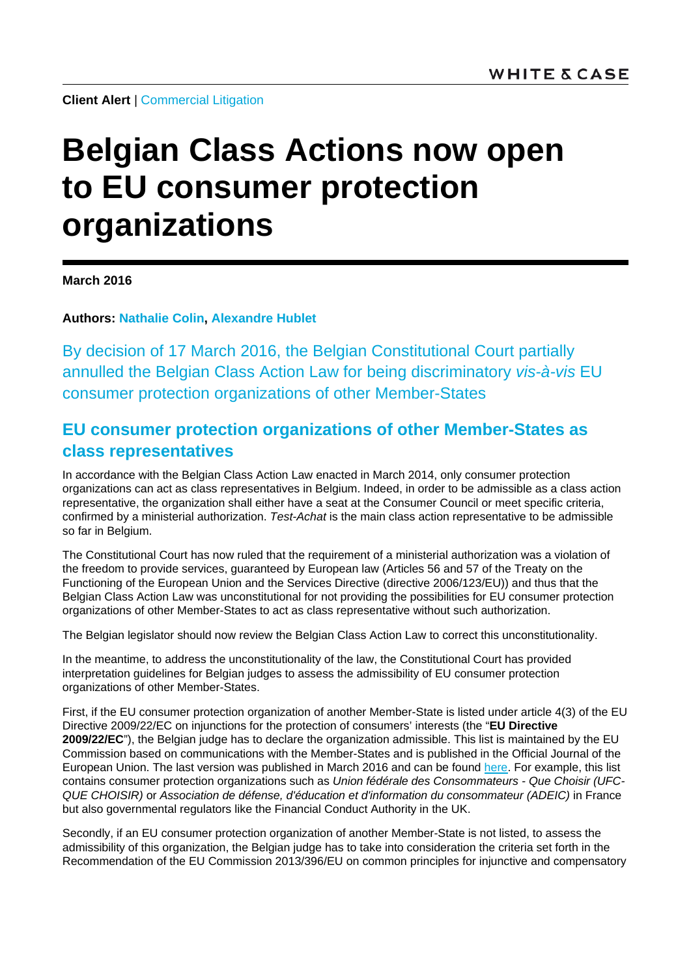**Client Alert | [Commercial Litigation](http://www.whitecase.com/law/practices/commercial-litigation)** 

# **Belgian Class Actions now open to EU consumer protection organizations**

**March 2016**

**Authors: [Nathalie Colin,](http://www.whitecase.com/people/nathalie-colin) [Alexandre Hublet](http://www.whitecase.com/people/alexandre-hublet)**

By decision of 17 March 2016, the Belgian Constitutional Court partially annulled the Belgian Class Action Law for being discriminatory *vis-à-vis* EU consumer protection organizations of other Member-States

## **EU consumer protection organizations of other Member-States as class representatives**

In accordance with the Belgian Class Action Law enacted in March 2014, only consumer protection organizations can act as class representatives in Belgium. Indeed, in order to be admissible as a class action representative, the organization shall either have a seat at the Consumer Council or meet specific criteria, confirmed by a ministerial authorization. *Test-Achat* is the main class action representative to be admissible so far in Belgium.

The Constitutional Court has now ruled that the requirement of a ministerial authorization was a violation of the freedom to provide services, guaranteed by European law (Articles 56 and 57 of the Treaty on the Functioning of the European Union and the Services Directive (directive 2006/123/EU)) and thus that the Belgian Class Action Law was unconstitutional for not providing the possibilities for EU consumer protection organizations of other Member-States to act as class representative without such authorization.

The Belgian legislator should now review the Belgian Class Action Law to correct this unconstitutionality.

In the meantime, to address the unconstitutionality of the law, the Constitutional Court has provided interpretation guidelines for Belgian judges to assess the admissibility of EU consumer protection organizations of other Member-States.

First, if the EU consumer protection organization of another Member-State is listed under article 4(3) of the EU Directive 2009/22/EC on injunctions for the protection of consumers' interests (the "**EU Directive 2009/22/EC**"), the Belgian judge has to declare the organization admissible. This list is maintained by the EU Commission based on communications with the Member-States and is published in the Official Journal of the European Union. The last version was published in March 2016 and can be found [here.](http://eur-lex.europa.eu/legal-content/EN/TXT/?qid=1458572712370&uri=CELEX:52016XC0304(06)) For example, this list contains consumer protection organizations such as *Union fédérale des Consommateurs - Que Choisir (UFC-QUE CHOISIR)* or *Association de défense, d'éducation et d'information du consommateur (ADEIC)* in France but also governmental regulators like the Financial Conduct Authority in the UK.

Secondly, if an EU consumer protection organization of another Member-State is not listed, to assess the admissibility of this organization, the Belgian judge has to take into consideration the criteria set forth in the Recommendation of the EU Commission 2013/396/EU on common principles for injunctive and compensatory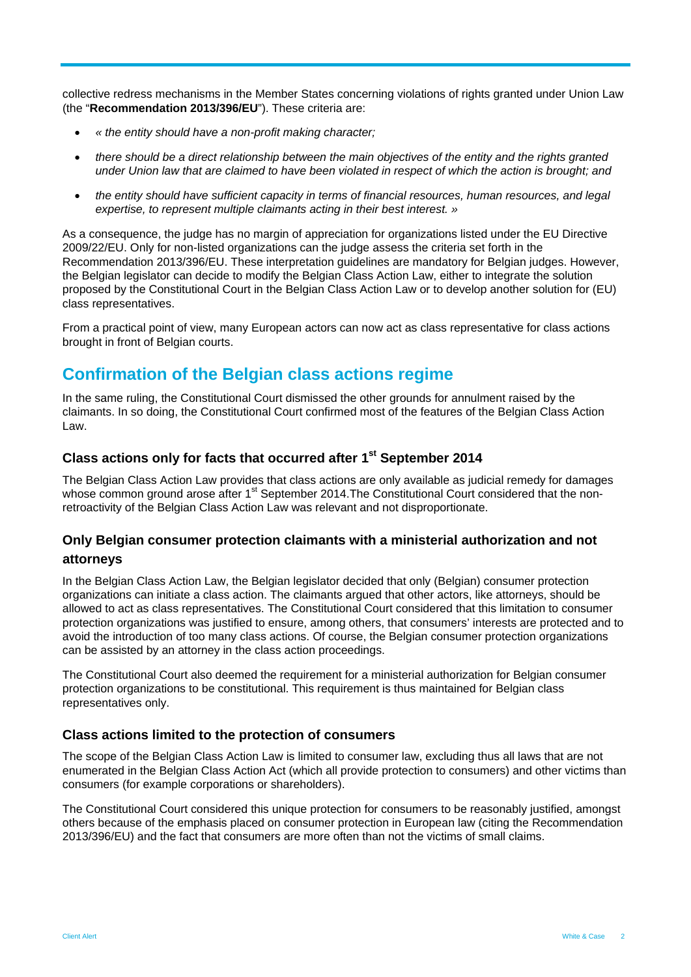collective redress mechanisms in the Member States concerning violations of rights granted under Union Law (the "**Recommendation 2013/396/EU**"). These criteria are:

- *« the entity should have a non-profit making character;*
- *there should be a direct relationship between the main objectives of the entity and the rights granted under Union law that are claimed to have been violated in respect of which the action is brought; and*
- *the entity should have sufficient capacity in terms of financial resources, human resources, and legal expertise, to represent multiple claimants acting in their best interest. »*

As a consequence, the judge has no margin of appreciation for organizations listed under the EU Directive 2009/22/EU. Only for non-listed organizations can the judge assess the criteria set forth in the Recommendation 2013/396/EU. These interpretation guidelines are mandatory for Belgian judges. However, the Belgian legislator can decide to modify the Belgian Class Action Law, either to integrate the solution proposed by the Constitutional Court in the Belgian Class Action Law or to develop another solution for (EU) class representatives.

From a practical point of view, many European actors can now act as class representative for class actions brought in front of Belgian courts.

## **Confirmation of the Belgian class actions regime**

In the same ruling, the Constitutional Court dismissed the other grounds for annulment raised by the claimants. In so doing, the Constitutional Court confirmed most of the features of the Belgian Class Action Law.

#### **Class actions only for facts that occurred after 1st September 2014**

The Belgian Class Action Law provides that class actions are only available as judicial remedy for damages whose common ground arose after 1<sup>st</sup> September 2014. The Constitutional Court considered that the nonretroactivity of the Belgian Class Action Law was relevant and not disproportionate.

### **Only Belgian consumer protection claimants with a ministerial authorization and not attorneys**

In the Belgian Class Action Law, the Belgian legislator decided that only (Belgian) consumer protection organizations can initiate a class action. The claimants argued that other actors, like attorneys, should be allowed to act as class representatives. The Constitutional Court considered that this limitation to consumer protection organizations was justified to ensure, among others, that consumers' interests are protected and to avoid the introduction of too many class actions. Of course, the Belgian consumer protection organizations can be assisted by an attorney in the class action proceedings.

The Constitutional Court also deemed the requirement for a ministerial authorization for Belgian consumer protection organizations to be constitutional. This requirement is thus maintained for Belgian class representatives only.

#### **Class actions limited to the protection of consumers**

The scope of the Belgian Class Action Law is limited to consumer law, excluding thus all laws that are not enumerated in the Belgian Class Action Act (which all provide protection to consumers) and other victims than consumers (for example corporations or shareholders).

The Constitutional Court considered this unique protection for consumers to be reasonably justified, amongst others because of the emphasis placed on consumer protection in European law (citing the Recommendation 2013/396/EU) and the fact that consumers are more often than not the victims of small claims.